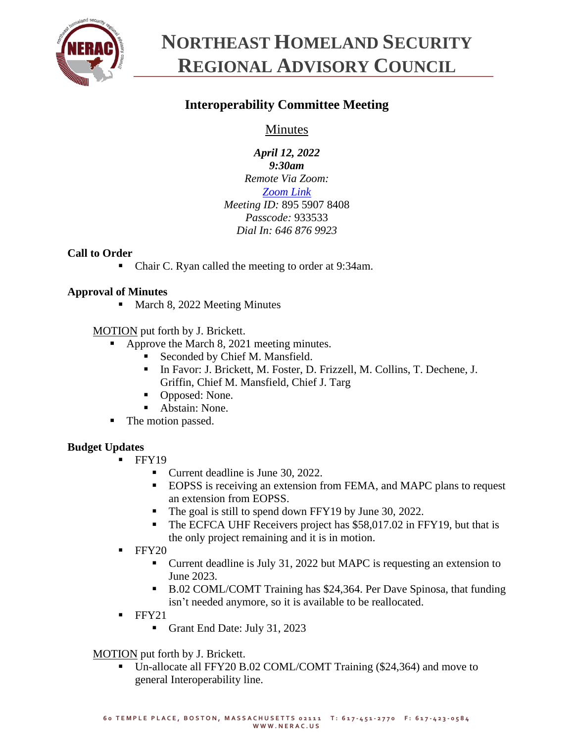

# **NORTHEAST HOMELAND SECURITY REGIONAL ADVISORY COUNCIL**

# **Interoperability Committee Meeting**

# Minutes

*April 12, 2022 9:30am Remote Via Zoom: [Zoom Link](https://us06web.zoom.us/j/89559078408?pwd=MG4zQ3JVRlMzTmhneXVuV2tRVFloUT09) Meeting ID:* 895 5907 8408 *Passcode:* 933533 *Dial In: 646 876 9923*

# **Call to Order**

■ Chair C. Ryan called the meeting to order at 9:34am.

# **Approval of Minutes**

March 8, 2022 Meeting Minutes

MOTION put forth by J. Brickett.

- Approve the March 8, 2021 meeting minutes.
	- Seconded by Chief M. Mansfield.
	- In Favor: J. Brickett, M. Foster, D. Frizzell, M. Collins, T. Dechene, J. Griffin, Chief M. Mansfield, Chief J. Targ
	- Opposed: None.
	- Abstain: None.
- The motion passed.

## **Budget Updates**

- **FFY19** 
	- Current deadline is June 30, 2022.
	- EOPSS is receiving an extension from FEMA, and MAPC plans to request an extension from EOPSS.
	- The goal is still to spend down FFY19 by June 30, 2022.
	- The ECFCA UHF Receivers project has \$58,017.02 in FFY19, but that is the only project remaining and it is in motion.
- **FFY20** 
	- Current deadline is July 31, 2022 but MAPC is requesting an extension to June 2023.
	- B.02 COML/COMT Training has \$24,364. Per Dave Spinosa, that funding isn't needed anymore, so it is available to be reallocated.
- FFY21
	- **Grant End Date: July 31, 2023**

MOTION put forth by J. Brickett.

Un-allocate all FFY20 B.02 COML/COMT Training (\$24,364) and move to general Interoperability line.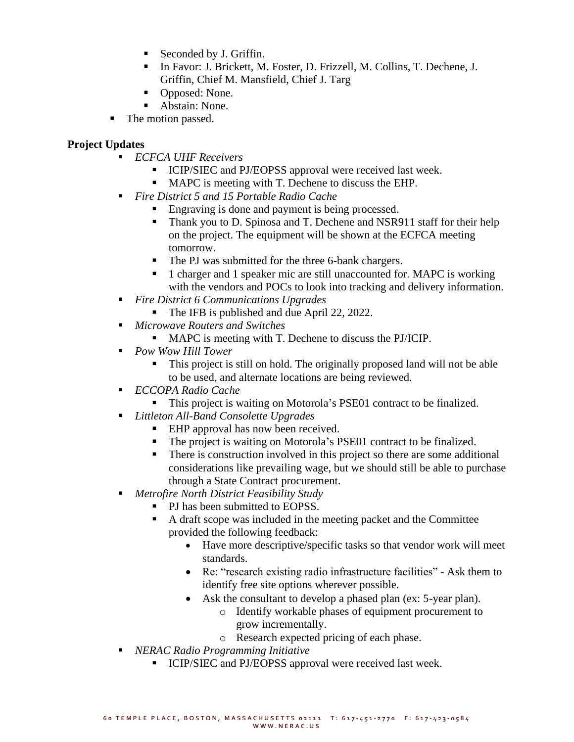- Seconded by J. Griffin.
- In Favor: J. Brickett, M. Foster, D. Frizzell, M. Collins, T. Dechene, J. Griffin, Chief M. Mansfield, Chief J. Targ
- Opposed: None.
- Abstain: None.
- The motion passed.

## **Project Updates**

- *ECFCA UHF Receivers* 
	- ICIP/SIEC and PJ/EOPSS approval were received last week.
	- MAPC is meeting with T. Dechene to discuss the EHP.
- *Fire District 5 and 15 Portable Radio Cache* 
	- Engraving is done and payment is being processed.
	- Thank you to D. Spinosa and T. Dechene and NSR911 staff for their help on the project. The equipment will be shown at the ECFCA meeting tomorrow.
	- The PJ was submitted for the three 6-bank chargers.
	- 1 charger and 1 speaker mic are still unaccounted for. MAPC is working with the vendors and POCs to look into tracking and delivery information.
- *Fire District 6 Communications Upgrades*
	- The IFB is published and due April 22, 2022.
- *Microwave Routers and Switches*
	- MAPC is meeting with T. Dechene to discuss the PJ/ICIP.
- *Pow Wow Hill Tower* 
	- This project is still on hold. The originally proposed land will not be able to be used, and alternate locations are being reviewed.
- *ECCOPA Radio Cache*
	- This project is waiting on Motorola's PSE01 contract to be finalized.
- *Littleton All-Band Consolette Upgrades*
	- EHP approval has now been received.
	- The project is waiting on Motorola's PSE01 contract to be finalized.
	- There is construction involved in this project so there are some additional considerations like prevailing wage, but we should still be able to purchase through a State Contract procurement.
- *Metrofire North District Feasibility Study* 
	- PJ has been submitted to EOPSS.
		- A draft scope was included in the meeting packet and the Committee provided the following feedback:
			- Have more descriptive/specific tasks so that vendor work will meet standards.
			- Re: "research existing radio infrastructure facilities" Ask them to identify free site options wherever possible.
			- Ask the consultant to develop a phased plan (ex: 5-year plan).
				- o Identify workable phases of equipment procurement to grow incrementally.
				- o Research expected pricing of each phase.
- *NERAC Radio Programming Initiative* 
	- **EXICIP/SIEC and PJ/EOPSS approval were received last week.**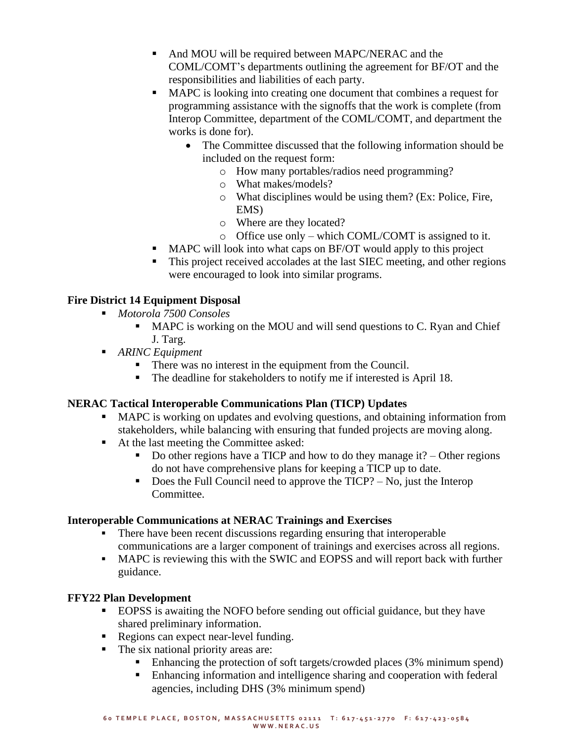- And MOU will be required between MAPC/NERAC and the COML/COMT's departments outlining the agreement for BF/OT and the responsibilities and liabilities of each party.
- MAPC is looking into creating one document that combines a request for programming assistance with the signoffs that the work is complete (from Interop Committee, department of the COML/COMT, and department the works is done for).
	- The Committee discussed that the following information should be included on the request form:
		- o How many portables/radios need programming?
		- o What makes/models?
		- o What disciplines would be using them? (Ex: Police, Fire, EMS)
		- o Where are they located?
		- o Office use only which COML/COMT is assigned to it.
- MAPC will look into what caps on BF/OT would apply to this project
- **This project received accolades at the last SIEC meeting, and other regions** were encouraged to look into similar programs.

# **Fire District 14 Equipment Disposal**

- *Motorola 7500 Consoles*
	- MAPC is working on the MOU and will send questions to C. Ryan and Chief J. Targ.
- *ARINC Equipment* 
	- There was no interest in the equipment from the Council.
	- The deadline for stakeholders to notify me if interested is April 18.

## **NERAC Tactical Interoperable Communications Plan (TICP) Updates**

- MAPC is working on updates and evolving questions, and obtaining information from stakeholders, while balancing with ensuring that funded projects are moving along.
- At the last meeting the Committee asked:
	- Do other regions have a TICP and how to do they manage it? Other regions do not have comprehensive plans for keeping a TICP up to date.
	- $\blacksquare$  Does the Full Council need to approve the TICP? No, just the Interop Committee.

## **Interoperable Communications at NERAC Trainings and Exercises**

- There have been recent discussions regarding ensuring that interoperable communications are a larger component of trainings and exercises across all regions.
- MAPC is reviewing this with the SWIC and EOPSS and will report back with further guidance.

## **FFY22 Plan Development**

- **EOPSS** is awaiting the NOFO before sending out official guidance, but they have shared preliminary information.
- Regions can expect near-level funding.
- The six national priority areas are:
	- Enhancing the protection of soft targets/crowded places (3% minimum spend)
	- Enhancing information and intelligence sharing and cooperation with federal agencies, including DHS (3% minimum spend)